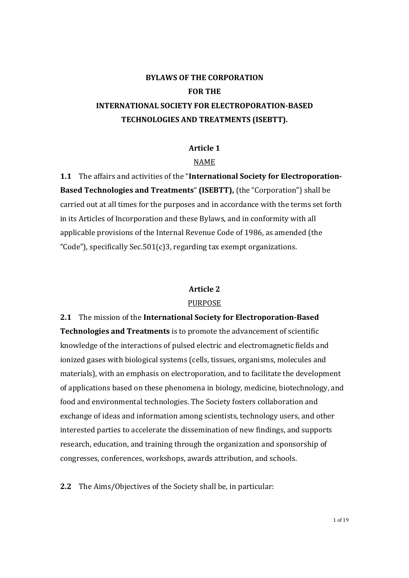# BYLAWS OF THE CORPORATION FOR THE INTERNATIONAL SOCIETY FOR ELECTROPORATION-BASED TECHNOLOGIES AND TREATMENTS (ISEBTT).

#### Article 1

#### NAME

1.1 The affairs and activities of the "International Society for Electroporation-Based Technologies and Treatments" (ISEBTT), (the "Corporation") shall be carried out at all times for the purposes and in accordance with the terms set forth in its Articles of Incorporation and these Bylaws, and in conformity with all applicable provisions of the Internal Revenue Code of 1986, as amended (the "Code"), specifically Sec.501(c)3, regarding tax exempt organizations.

#### Article 2

#### PURPOSE

2.1 The mission of the International Society for Electroporation-Based Technologies and Treatments is to promote the advancement of scientific knowledge of the interactions of pulsed electric and electromagnetic fields and ionized gases with biological systems (cells, tissues, organisms, molecules and materials), with an emphasis on electroporation, and to facilitate the development of applications based on these phenomena in biology, medicine, biotechnology, and food and environmental technologies. The Society fosters collaboration and exchange of ideas and information among scientists, technology users, and other interested parties to accelerate the dissemination of new findings, and supports research, education, and training through the organization and sponsorship of congresses, conferences, workshops, awards attribution, and schools.

2.2 The Aims/Objectives of the Society shall be, in particular: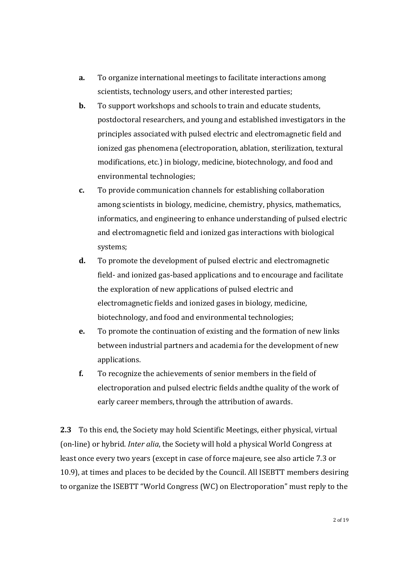- a. To organize international meetings to facilitate interactions among scientists, technology users, and other interested parties;
- **b.** To support workshops and schools to train and educate students, postdoctoral researchers, and young and established investigators in the principles associated with pulsed electric and electromagnetic field and ionized gas phenomena (electroporation, ablation, sterilization, textural modifications, etc.) in biology, medicine, biotechnology, and food and environmental technologies;
- c. To provide communication channels for establishing collaboration among scientists in biology, medicine, chemistry, physics, mathematics, informatics, and engineering to enhance understanding of pulsed electric and electromagnetic field and ionized gas interactions with biological systems;
- d. To promote the development of pulsed electric and electromagnetic field- and ionized gas-based applications and to encourage and facilitate the exploration of new applications of pulsed electric and electromagnetic fields and ionized gases in biology, medicine, biotechnology, and food and environmental technologies;
- e. To promote the continuation of existing and the formation of new links between industrial partners and academia for the development of new applications.
- f. To recognize the achievements of senior members in the field of electroporation and pulsed electric fields andthe quality of the work of early career members, through the attribution of awards.

2.3 To this end, the Society may hold Scientific Meetings, either physical, virtual (on-line) or hybrid. Inter alia, the Society will hold a physical World Congress at least once every two years (except in case of force majeure, see also article 7.3 or 10.9), at times and places to be decided by the Council. All ISEBTT members desiring to organize the ISEBTT "World Congress (WC) on Electroporation" must reply to the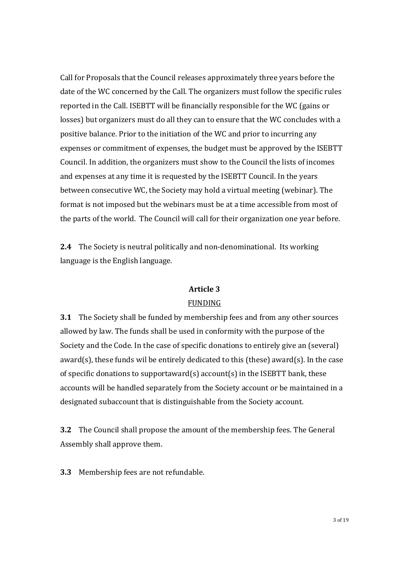Call for Proposals that the Council releases approximately three years before the date of the WC concerned by the Call. The organizers must follow the specific rules reported in the Call. ISEBTT will be financially responsible for the WC (gains or losses) but organizers must do all they can to ensure that the WC concludes with a positive balance. Prior to the initiation of the WC and prior to incurring any expenses or commitment of expenses, the budget must be approved by the ISEBTT Council. In addition, the organizers must show to the Council the lists of incomes and expenses at any time it is requested by the ISEBTT Council. In the years between consecutive WC, the Society may hold a virtual meeting (webinar). The format is not imposed but the webinars must be at a time accessible from most of the parts of the world. The Council will call for their organization one year before.

2.4 The Society is neutral politically and non-denominational. Its working language is the English language.

### Article 3

#### FUNDING

3.1 The Society shall be funded by membership fees and from any other sources allowed by law. The funds shall be used in conformity with the purpose of the Society and the Code. In the case of specific donations to entirely give an (several) award(s), these funds wil be entirely dedicated to this (these) award(s). In the case of specific donations to supportaward(s) account(s) in the ISEBTT bank, these accounts will be handled separately from the Society account or be maintained in a designated subaccount that is distinguishable from the Society account.

3.2 The Council shall propose the amount of the membership fees. The General Assembly shall approve them.

3.3 Membership fees are not refundable.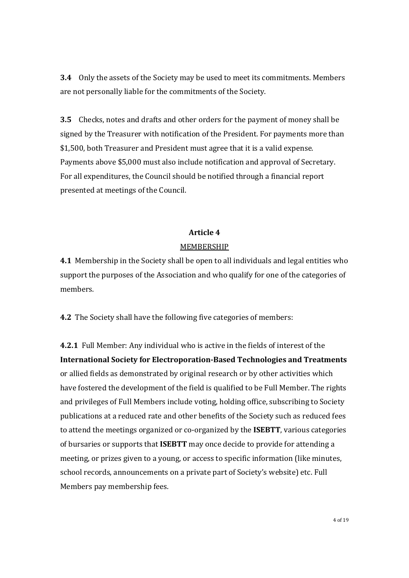3.4 Only the assets of the Society may be used to meet its commitments. Members are not personally liable for the commitments of the Society.

3.5 Checks, notes and drafts and other orders for the payment of money shall be signed by the Treasurer with notification of the President. For payments more than \$1,500, both Treasurer and President must agree that it is a valid expense. Payments above \$5,000 must also include notification and approval of Secretary. For all expenditures, the Council should be notified through a financial report presented at meetings of the Council.

### Article 4

### MEMBERSHIP

4.1 Membership in the Society shall be open to all individuals and legal entities who support the purposes of the Association and who qualify for one of the categories of members.

4.2 The Society shall have the following five categories of members:

4.2.1 Full Member: Any individual who is active in the fields of interest of the International Society for Electroporation-Based Technologies and Treatments or allied fields as demonstrated by original research or by other activities which have fostered the development of the field is qualified to be Full Member. The rights and privileges of Full Members include voting, holding office, subscribing to Society publications at a reduced rate and other benefits of the Society such as reduced fees to attend the meetings organized or co-organized by the ISEBTT, various categories of bursaries or supports that ISEBTT may once decide to provide for attending a meeting, or prizes given to a young, or access to specific information (like minutes, school records, announcements on a private part of Society's website) etc. Full Members pay membership fees.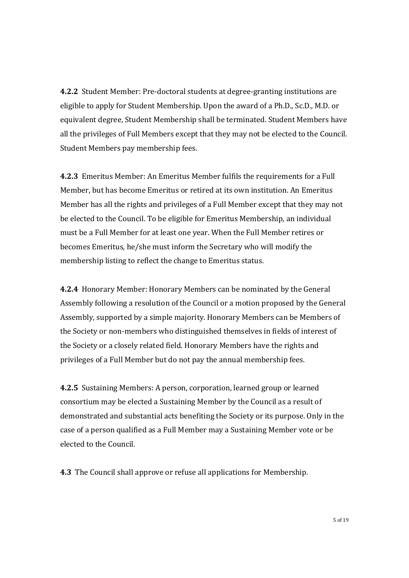4.2.2 Student Member: Pre-doctoral students at degree-granting institutions are eligible to apply for Student Membership. Upon the award of a Ph.D., Sc.D., M.D. or equivalent degree, Student Membership shall be terminated. Student Members have all the privileges of Full Members except that they may not be elected to the Council. Student Members pay membership fees.

4.2.3 Emeritus Member: An Emeritus Member fulfils the requirements for a Full Member, but has become Emeritus or retired at its own institution. An Emeritus Member has all the rights and privileges of a Full Member except that they may not be elected to the Council. To be eligible for Emeritus Membership, an individual must be a Full Member for at least one year. When the Full Member retires or becomes Emeritus, he/she must inform the Secretary who will modify the membership listing to reflect the change to Emeritus status.

4.2.4 Honorary Member: Honorary Members can be nominated by the General Assembly following a resolution of the Council or a motion proposed by the General Assembly, supported by a simple majority. Honorary Members can be Members of the Society or non-members who distinguished themselves in fields of interest of the Society or a closely related field. Honorary Members have the rights and privileges of a Full Member but do not pay the annual membership fees.

4.2.5 Sustaining Members: A person, corporation, learned group or learned consortium may be elected a Sustaining Member by the Council as a result of demonstrated and substantial acts benefiting the Society or its purpose. Only in the case of a person qualified as a Full Member may a Sustaining Member vote or be elected to the Council.

4.3 The Council shall approve or refuse all applications for Membership.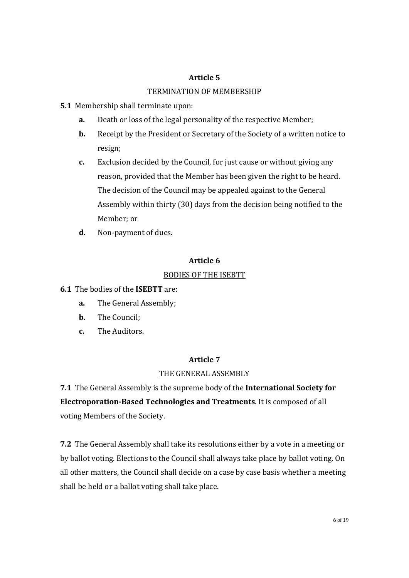## Article 5 TERMINATION OF MEMBERSHIP

- 5.1 Membership shall terminate upon:
	- a. Death or loss of the legal personality of the respective Member;
	- **b.** Receipt by the President or Secretary of the Society of a written notice to resign;
	- c. Exclusion decided by the Council, for just cause or without giving any reason, provided that the Member has been given the right to be heard. The decision of the Council may be appealed against to the General Assembly within thirty (30) days from the decision being notified to the Member; or
	- d. Non-payment of dues.

## Article 6

## BODIES OF THE ISEBTT

## 6.1 The bodies of the ISEBTT are:

- a. The General Assembly;
- b. The Council;
- c. The Auditors.

## Article 7

## THE GENERAL ASSEMBLY

7.1 The General Assembly is the supreme body of the International Society for Electroporation-Based Technologies and Treatments. It is composed of all voting Members of the Society.

7.2 The General Assembly shall take its resolutions either by a vote in a meeting or by ballot voting. Elections to the Council shall always take place by ballot voting. On all other matters, the Council shall decide on a case by case basis whether a meeting shall be held or a ballot voting shall take place.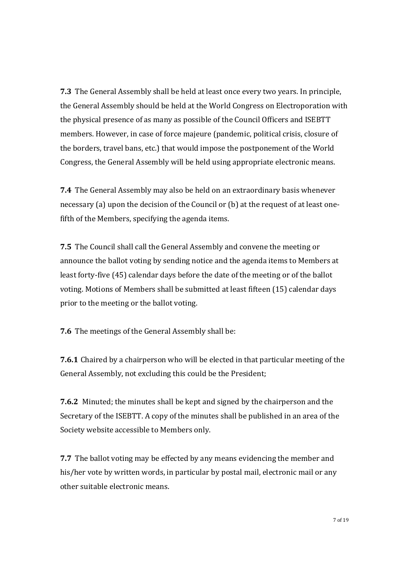7.3 The General Assembly shall be held at least once every two years. In principle, the General Assembly should be held at the World Congress on Electroporation with the physical presence of as many as possible of the Council Officers and ISEBTT members. However, in case of force majeure (pandemic, political crisis, closure of the borders, travel bans, etc.) that would impose the postponement of the World Congress, the General Assembly will be held using appropriate electronic means.

7.4 The General Assembly may also be held on an extraordinary basis whenever necessary (a) upon the decision of the Council or (b) at the request of at least onefifth of the Members, specifying the agenda items.

7.5 The Council shall call the General Assembly and convene the meeting or announce the ballot voting by sending notice and the agenda items to Members at least forty-five (45) calendar days before the date of the meeting or of the ballot voting. Motions of Members shall be submitted at least fifteen (15) calendar days prior to the meeting or the ballot voting.

7.6 The meetings of the General Assembly shall be:

7.6.1 Chaired by a chairperson who will be elected in that particular meeting of the General Assembly, not excluding this could be the President;

7.6.2 Minuted; the minutes shall be kept and signed by the chairperson and the Secretary of the ISEBTT. A copy of the minutes shall be published in an area of the Society website accessible to Members only.

7.7 The ballot voting may be effected by any means evidencing the member and his/her vote by written words, in particular by postal mail, electronic mail or any other suitable electronic means.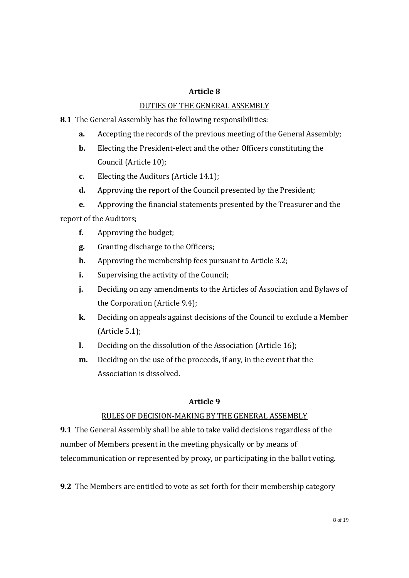### Article 8

### DUTIES OF THE GENERAL ASSEMBLY

- 8.1 The General Assembly has the following responsibilities:
	- a. Accepting the records of the previous meeting of the General Assembly;
	- b. Electing the President-elect and the other Officers constituting the Council (Article 10);
	- c. Electing the Auditors (Article 14.1);
	- d. Approving the report of the Council presented by the President;
- e. Approving the financial statements presented by the Treasurer and the report of the Auditors;
	- f. Approving the budget;
	- g. Granting discharge to the Officers;
	- h. Approving the membership fees pursuant to Article 3.2;
	- i. Supervising the activity of the Council;
	- j. Deciding on any amendments to the Articles of Association and Bylaws of the Corporation (Article 9.4);
	- k. Deciding on appeals against decisions of the Council to exclude a Member (Article 5.1);
	- l. Deciding on the dissolution of the Association (Article 16);
	- m. Deciding on the use of the proceeds, if any, in the event that the Association is dissolved.

#### Article 9

#### RULES OF DECISION-MAKING BY THE GENERAL ASSEMBLY

9.1 The General Assembly shall be able to take valid decisions regardless of the number of Members present in the meeting physically or by means of telecommunication or represented by proxy, or participating in the ballot voting.

9.2 The Members are entitled to vote as set forth for their membership category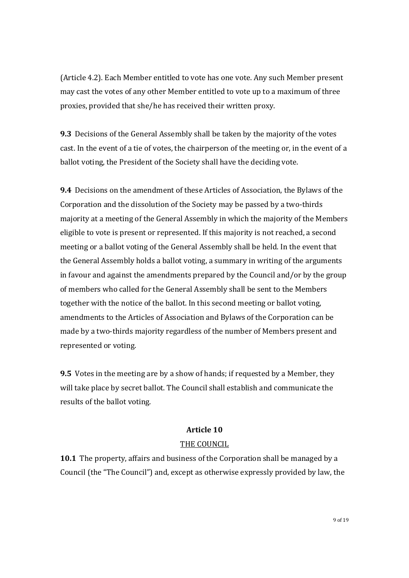(Article 4.2). Each Member entitled to vote has one vote. Any such Member present may cast the votes of any other Member entitled to vote up to a maximum of three proxies, provided that she/he has received their written proxy.

9.3 Decisions of the General Assembly shall be taken by the majority of the votes cast. In the event of a tie of votes, the chairperson of the meeting or, in the event of a ballot voting, the President of the Society shall have the deciding vote.

9.4 Decisions on the amendment of these Articles of Association, the Bylaws of the Corporation and the dissolution of the Society may be passed by a two-thirds majority at a meeting of the General Assembly in which the majority of the Members eligible to vote is present or represented. If this majority is not reached, a second meeting or a ballot voting of the General Assembly shall be held. In the event that the General Assembly holds a ballot voting, a summary in writing of the arguments in favour and against the amendments prepared by the Council and/or by the group of members who called for the General Assembly shall be sent to the Members together with the notice of the ballot. In this second meeting or ballot voting, amendments to the Articles of Association and Bylaws of the Corporation can be made by a two-thirds majority regardless of the number of Members present and represented or voting.

9.5 Votes in the meeting are by a show of hands; if requested by a Member, they will take place by secret ballot. The Council shall establish and communicate the results of the ballot voting.

#### Article 10

#### THE COUNCIL

10.1 The property, affairs and business of the Corporation shall be managed by a Council (the "The Council") and, except as otherwise expressly provided by law, the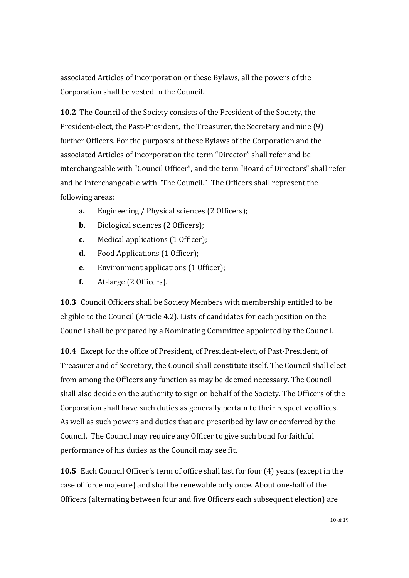associated Articles of Incorporation or these Bylaws, all the powers of the Corporation shall be vested in the Council.

10.2 The Council of the Society consists of the President of the Society, the President-elect, the Past-President, the Treasurer, the Secretary and nine (9) further Officers. For the purposes of these Bylaws of the Corporation and the associated Articles of Incorporation the term "Director" shall refer and be interchangeable with "Council Officer", and the term "Board of Directors" shall refer and be interchangeable with "The Council." The Officers shall represent the following areas:

- a. Engineering / Physical sciences (2 Officers);
- **b.** Biological sciences (2 Officers);
- c. Medical applications (1 Officer);
- d. Food Applications (1 Officer);
- e. Environment applications (1 Officer);
- f. At-large (2 Officers).

10.3 Council Officers shall be Society Members with membership entitled to be eligible to the Council (Article 4.2). Lists of candidates for each position on the Council shall be prepared by a Nominating Committee appointed by the Council.

10.4 Except for the office of President, of President-elect, of Past-President, of Treasurer and of Secretary, the Council shall constitute itself. The Council shall elect from among the Officers any function as may be deemed necessary. The Council shall also decide on the authority to sign on behalf of the Society. The Officers of the Corporation shall have such duties as generally pertain to their respective offices. As well as such powers and duties that are prescribed by law or conferred by the Council. The Council may require any Officer to give such bond for faithful performance of his duties as the Council may see fit.

10.5 Each Council Officer's term of office shall last for four (4) years (except in the case of force majeure) and shall be renewable only once. About one-half of the Officers (alternating between four and five Officers each subsequent election) are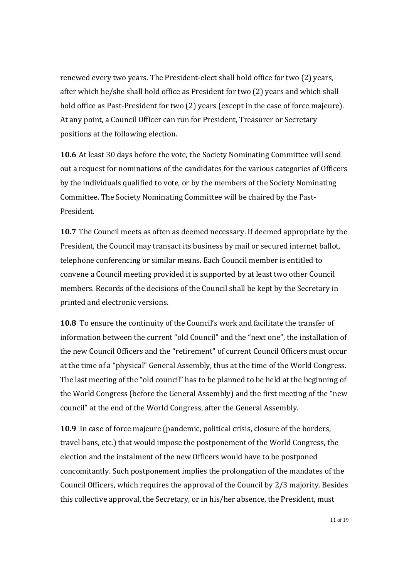renewed every two years. The President-elect shall hold office for two (2) years, after which he/she shall hold office as President for two (2) years and which shall hold office as Past-President for two (2) years (except in the case of force majeure). At any point, a Council Officer can run for President, Treasurer or Secretary positions at the following election.

10.6 At least 30 days before the vote, the Society Nominating Committee will send out a request for nominations of the candidates for the various categories of Officers by the individuals qualified to vote, or by the members of the Society Nominating Committee. The Society Nominating Committee will be chaired by the Past-President.

10.7 The Council meets as often as deemed necessary. If deemed appropriate by the President, the Council may transact its business by mail or secured internet ballot, telephone conferencing or similar means. Each Council member is entitled to convene a Council meeting provided it is supported by at least two other Council members. Records of the decisions of the Council shall be kept by the Secretary in printed and electronic versions.

10.8 To ensure the continuity of the Council's work and facilitate the transfer of information between the current "old Council" and the "next one", the installation of the new Council Officers and the "retirement" of current Council Officers must occur at the time of a "physical" General Assembly, thus at the time of the World Congress. The last meeting of the "old council" has to be planned to be held at the beginning of the World Congress (before the General Assembly) and the first meeting of the "new council" at the end of the World Congress, after the General Assembly.

10.9 In case of force majeure (pandemic, political crisis, closure of the borders, travel bans, etc.) that would impose the postponement of the World Congress, the election and the instalment of the new Officers would have to be postponed concomitantly. Such postponement implies the prolongation of the mandates of the Council Officers, which requires the approval of the Council by 2/3 majority. Besides this collective approval, the Secretary, or in his/her absence, the President, must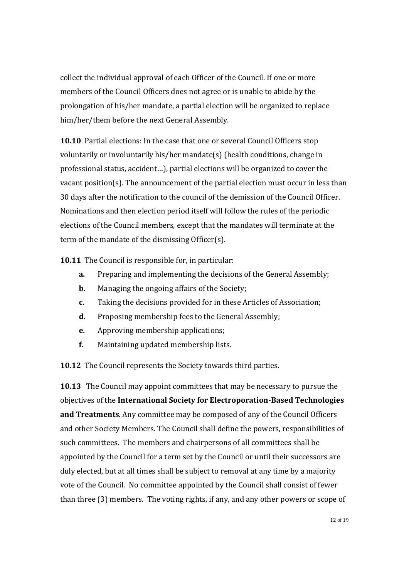collect the individual approval of each Officer of the Council. If one or more members of the Council Officers does not agree or is unable to abide by the prolongation of his/her mandate, a partial election will be organized to replace him/her/them before the next General Assembly.

10.10 Partial elections: In the case that one or several Council Officers stop voluntarily or involuntarily his/her mandate(s) (health conditions, change in professional status, accident…), partial elections will be organized to cover the vacant position(s). The announcement of the partial election must occur in less than 30 days after the notification to the council of the demission of the Council Officer. Nominations and then election period itself will follow the rules of the periodic elections of the Council members, except that the mandates will terminate at the term of the mandate of the dismissing Officer(s).

10.11 The Council is responsible for, in particular:

- a. Preparing and implementing the decisions of the General Assembly;
- **b.** Managing the ongoing affairs of the Society;
- c. Taking the decisions provided for in these Articles of Association;
- d. Proposing membership fees to the General Assembly;
- e. Approving membership applications;
- f. Maintaining updated membership lists.

10.12 The Council represents the Society towards third parties.

10.13 The Council may appoint committees that may be necessary to pursue the objectives of the International Society for Electroporation-Based Technologies and Treatments. Any committee may be composed of any of the Council Officers and other Society Members. The Council shall define the powers, responsibilities of such committees. The members and chairpersons of all committees shall be appointed by the Council for a term set by the Council or until their successors are duly elected, but at all times shall be subject to removal at any time by a majority vote of the Council. No committee appointed by the Council shall consist of fewer than three (3) members. The voting rights, if any, and any other powers or scope of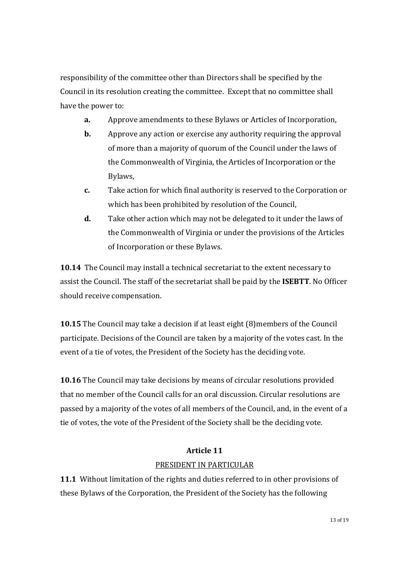responsibility of the committee other than Directors shall be specified by the Council in its resolution creating the committee. Except that no committee shall have the power to:

- a. Approve amendments to these Bylaws or Articles of Incorporation,
- **b.** Approve any action or exercise any authority requiring the approval of more than a majority of quorum of the Council under the laws of the Commonwealth of Virginia, the Articles of Incorporation or the Bylaws,
- c. Take action for which final authority is reserved to the Corporation or which has been prohibited by resolution of the Council,
- d. Take other action which may not be delegated to it under the laws of the Commonwealth of Virginia or under the provisions of the Articles of Incorporation or these Bylaws.

10.14 The Council may install a technical secretariat to the extent necessary to assist the Council. The staff of the secretariat shall be paid by the ISEBTT. No Officer should receive compensation.

10.15 The Council may take a decision if at least eight (8)members of the Council participate. Decisions of the Council are taken by a majority of the votes cast. In the event of a tie of votes, the President of the Society has the deciding vote.

10.16 The Council may take decisions by means of circular resolutions provided that no member of the Council calls for an oral discussion. Circular resolutions are passed by a majority of the votes of all members of the Council, and, in the event of a tie of votes, the vote of the President of the Society shall be the deciding vote.

## Article 11

## PRESIDENT IN PARTICULAR

11.1 Without limitation of the rights and duties referred to in other provisions of these Bylaws of the Corporation, the President of the Society has the following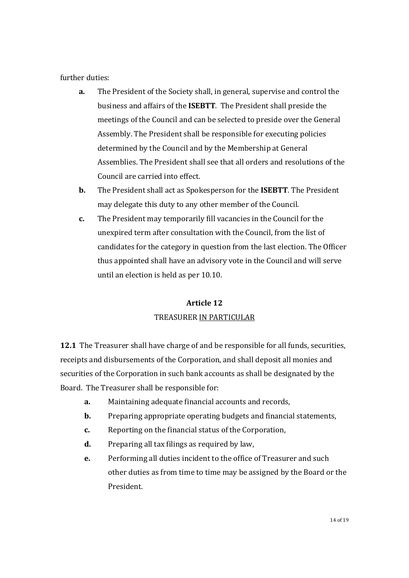further duties:

- a. The President of the Society shall, in general, supervise and control the business and affairs of the ISEBTT. The President shall preside the meetings of the Council and can be selected to preside over the General Assembly. The President shall be responsible for executing policies determined by the Council and by the Membership at General Assemblies. The President shall see that all orders and resolutions of the Council are carried into effect.
- **b.** The President shall act as Spokesperson for the **ISEBTT**. The President may delegate this duty to any other member of the Council.
- c. The President may temporarily fill vacancies in the Council for the unexpired term after consultation with the Council, from the list of candidates for the category in question from the last election. The Officer thus appointed shall have an advisory vote in the Council and will serve until an election is held as per 10.10.

# Article 12 TREASURER IN PARTICULAR

12.1 The Treasurer shall have charge of and be responsible for all funds, securities, receipts and disbursements of the Corporation, and shall deposit all monies and securities of the Corporation in such bank accounts as shall be designated by the Board. The Treasurer shall be responsible for:

- a. Maintaining adequate financial accounts and records,
- **b.** Preparing appropriate operating budgets and financial statements,
- c. Reporting on the financial status of the Corporation,
- d. Preparing all tax filings as required by law,
- e. Performing all duties incident to the office of Treasurer and such other duties as from time to time may be assigned by the Board or the President.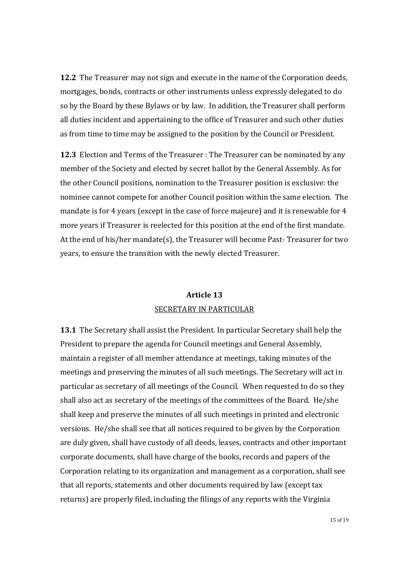12.2 The Treasurer may not sign and execute in the name of the Corporation deeds, mortgages, bonds, contracts or other instruments unless expressly delegated to do so by the Board by these Bylaws or by law. In addition, the Treasurer shall perform all duties incident and appertaining to the office of Treasurer and such other duties as from time to time may be assigned to the position by the Council or President.

12.3 Election and Terms of the Treasurer : The Treasurer can be nominated by any member of the Society and elected by secret ballot by the General Assembly. As for the other Council positions, nomination to the Treasurer position is exclusive: the nominee cannot compete for another Council position within the same election. The mandate is for 4 years (except in the case of force majeure) and it is renewable for 4 more years if Treasurer is reelected for this position at the end of the first mandate. At the end of his/her mandate(s), the Treasurer will become Past- Treasurer for two years, to ensure the transition with the newly elected Treasurer.

## Article 13 SECRETARY IN PARTICULAR

13.1 The Secretary shall assist the President. In particular Secretary shall help the President to prepare the agenda for Council meetings and General Assembly, maintain a register of all member attendance at meetings, taking minutes of the meetings and preserving the minutes of all such meetings. The Secretary will act in particular as secretary of all meetings of the Council. When requested to do so they shall also act as secretary of the meetings of the committees of the Board. He/she shall keep and preserve the minutes of all such meetings in printed and electronic versions. He/she shall see that all notices required to be given by the Corporation are duly given, shall have custody of all deeds, leases, contracts and other important corporate documents, shall have charge of the books, records and papers of the Corporation relating to its organization and management as a corporation, shall see that all reports, statements and other documents required by law (except tax returns) are properly filed, including the filings of any reports with the Virginia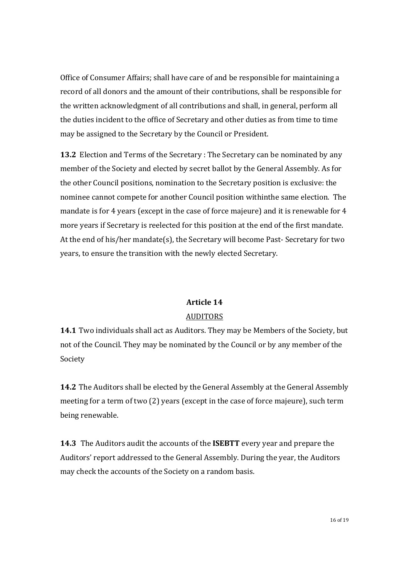Office of Consumer Affairs; shall have care of and be responsible for maintaining a record of all donors and the amount of their contributions, shall be responsible for the written acknowledgment of all contributions and shall, in general, perform all the duties incident to the office of Secretary and other duties as from time to time may be assigned to the Secretary by the Council or President.

13.2 Election and Terms of the Secretary : The Secretary can be nominated by any member of the Society and elected by secret ballot by the General Assembly. As for the other Council positions, nomination to the Secretary position is exclusive: the nominee cannot compete for another Council position withinthe same election. The mandate is for 4 years (except in the case of force majeure) and it is renewable for 4 more years if Secretary is reelected for this position at the end of the first mandate. At the end of his/her mandate(s), the Secretary will become Past- Secretary for two years, to ensure the transition with the newly elected Secretary.

# Article 14 AUDITORS

14.1 Two individuals shall act as Auditors. They may be Members of the Society, but not of the Council. They may be nominated by the Council or by any member of the Society

14.2 The Auditors shall be elected by the General Assembly at the General Assembly meeting for a term of two (2) years (except in the case of force majeure), such term being renewable.

14.3 The Auditors audit the accounts of the ISEBTT every year and prepare the Auditors' report addressed to the General Assembly. During the year, the Auditors may check the accounts of the Society on a random basis.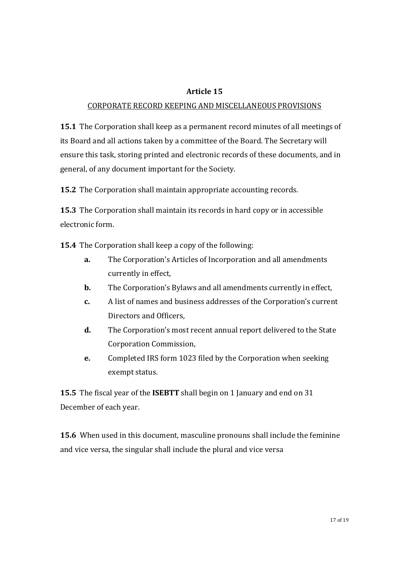### Article 15

#### CORPORATE RECORD KEEPING AND MISCELLANEOUS PROVISIONS

15.1 The Corporation shall keep as a permanent record minutes of all meetings of its Board and all actions taken by a committee of the Board. The Secretary will ensure this task, storing printed and electronic records of these documents, and in general, of any document important for the Society.

15.2 The Corporation shall maintain appropriate accounting records.

15.3 The Corporation shall maintain its records in hard copy or in accessible electronic form.

15.4 The Corporation shall keep a copy of the following:

- a. The Corporation's Articles of Incorporation and all amendments currently in effect,
- **b.** The Corporation's Bylaws and all amendments currently in effect,
- c. A list of names and business addresses of the Corporation's current Directors and Officers,
- d. The Corporation's most recent annual report delivered to the State Corporation Commission,
- e. Completed IRS form 1023 filed by the Corporation when seeking exempt status.

15.5 The fiscal year of the **ISEBTT** shall begin on 1 January and end on 31 December of each year.

15.6 When used in this document, masculine pronouns shall include the feminine and vice versa, the singular shall include the plural and vice versa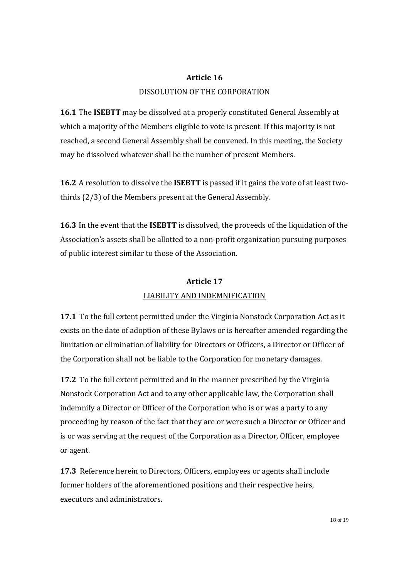## Article 16 DISSOLUTION OF THE CORPORATION

16.1 The ISEBTT may be dissolved at a properly constituted General Assembly at which a majority of the Members eligible to vote is present. If this majority is not reached, a second General Assembly shall be convened. In this meeting, the Society may be dissolved whatever shall be the number of present Members.

16.2 A resolution to dissolve the ISEBTT is passed if it gains the vote of at least twothirds (2/3) of the Members present at the General Assembly.

16.3 In the event that the ISEBTT is dissolved, the proceeds of the liquidation of the Association's assets shall be allotted to a non-profit organization pursuing purposes of public interest similar to those of the Association.

# Article 17 LIABILITY AND INDEMNIFICATION

17.1 To the full extent permitted under the Virginia Nonstock Corporation Act as it exists on the date of adoption of these Bylaws or is hereafter amended regarding the limitation or elimination of liability for Directors or Officers, a Director or Officer of the Corporation shall not be liable to the Corporation for monetary damages.

17.2 To the full extent permitted and in the manner prescribed by the Virginia Nonstock Corporation Act and to any other applicable law, the Corporation shall indemnify a Director or Officer of the Corporation who is or was a party to any proceeding by reason of the fact that they are or were such a Director or Officer and is or was serving at the request of the Corporation as a Director, Officer, employee or agent.

17.3 Reference herein to Directors, Officers, employees or agents shall include former holders of the aforementioned positions and their respective heirs, executors and administrators.